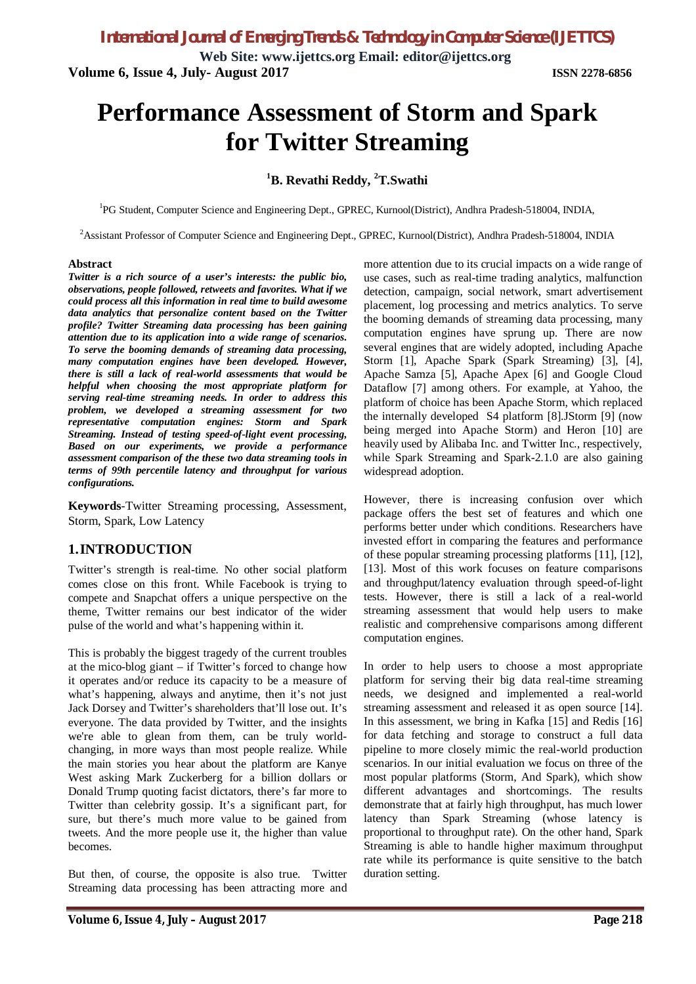**Web Site: www.ijettcs.org Email: editor@ijettcs.org Volume 6, Issue 4, July- August 2017 ISSN 2278-6856**

# **Performance Assessment of Storm and Spark for Twitter Streaming**

#### **<sup>1</sup>B. Revathi Reddy, <sup>2</sup>T.Swathi**

<sup>1</sup>PG Student, Computer Science and Engineering Dept., GPREC, Kurnool(District), Andhra Pradesh-518004, INDIA,

<sup>2</sup>Assistant Professor of Computer Science and Engineering Dept., GPREC, Kurnool(District), Andhra Pradesh-518004, INDIA

#### **Abstract**

*Twitter is a rich source of a user's interests: the public bio, observations, people followed, retweets and favorites. What if we could process all this information in real time to build awesome data analytics that personalize content based on the Twitter profile? Twitter Streaming data processing has been gaining attention due to its application into a wide range of scenarios. To serve the booming demands of streaming data processing, many computation engines have been developed. However, there is still a lack of real-world assessments that would be helpful when choosing the most appropriate platform for serving real-time streaming needs. In order to address this problem, we developed a streaming assessment for two representative computation engines: Storm and Spark Streaming. Instead of testing speed-of-light event processing, Based on our experiments, we provide a performance assessment comparison of the these two data streaming tools in terms of 99th percentile latency and throughput for various configurations.*

**Keywords**-Twitter Streaming processing, Assessment, Storm, Spark, Low Latency

#### **1.INTRODUCTION**

Twitter's strength is real-time. No other social platform comes close on this front. While Facebook is trying to compete and Snapchat offers a unique perspective on the theme, Twitter remains our best indicator of the wider pulse of the world and what's happening within it.

This is probably the biggest tragedy of the current troubles at the mico-blog giant – if Twitter's forced to change how it operates and/or reduce its capacity to be a measure of what's happening, always and anytime, then it's not just Jack Dorsey and Twitter's shareholders that'll lose out. It's everyone. The data provided by Twitter, and the insights we're able to glean from them, can be truly worldchanging, in more ways than most people realize. While the main stories you hear about the platform are Kanye West asking Mark Zuckerberg for a billion dollars or Donald Trump quoting facist dictators, there's far more to Twitter than celebrity gossip. It's a significant part, for sure, but there's much more value to be gained from tweets. And the more people use it, the higher than value becomes.

But then, of course, the opposite is also true. Twitter Streaming data processing has been attracting more and more attention due to its crucial impacts on a wide range of use cases, such as real-time trading analytics, malfunction detection, campaign, social network, smart advertisement placement, log processing and metrics analytics. To serve the booming demands of streaming data processing, many computation engines have sprung up. There are now several engines that are widely adopted, including Apache Storm [1], Apache Spark (Spark Streaming) [3], [4], Apache Samza [5], Apache Apex [6] and Google Cloud Dataflow [7] among others. For example, at Yahoo, the platform of choice has been Apache Storm, which replaced the internally developed S4 platform [8].JStorm [9] (now being merged into Apache Storm) and Heron [10] are heavily used by Alibaba Inc. and Twitter Inc., respectively, while Spark Streaming and Spark-2.1.0 are also gaining widespread adoption.

However, there is increasing confusion over which package offers the best set of features and which one performs better under which conditions. Researchers have invested effort in comparing the features and performance of these popular streaming processing platforms [11], [12], [13]. Most of this work focuses on feature comparisons and throughput/latency evaluation through speed-of-light tests. However, there is still a lack of a real-world streaming assessment that would help users to make realistic and comprehensive comparisons among different computation engines.

In order to help users to choose a most appropriate platform for serving their big data real-time streaming needs, we designed and implemented a real-world streaming assessment and released it as open source [14]. In this assessment, we bring in Kafka [15] and Redis [16] for data fetching and storage to construct a full data pipeline to more closely mimic the real-world production scenarios. In our initial evaluation we focus on three of the most popular platforms (Storm, And Spark), which show different advantages and shortcomings. The results demonstrate that at fairly high throughput, has much lower latency than Spark Streaming (whose latency is proportional to throughput rate). On the other hand, Spark Streaming is able to handle higher maximum throughput rate while its performance is quite sensitive to the batch duration setting.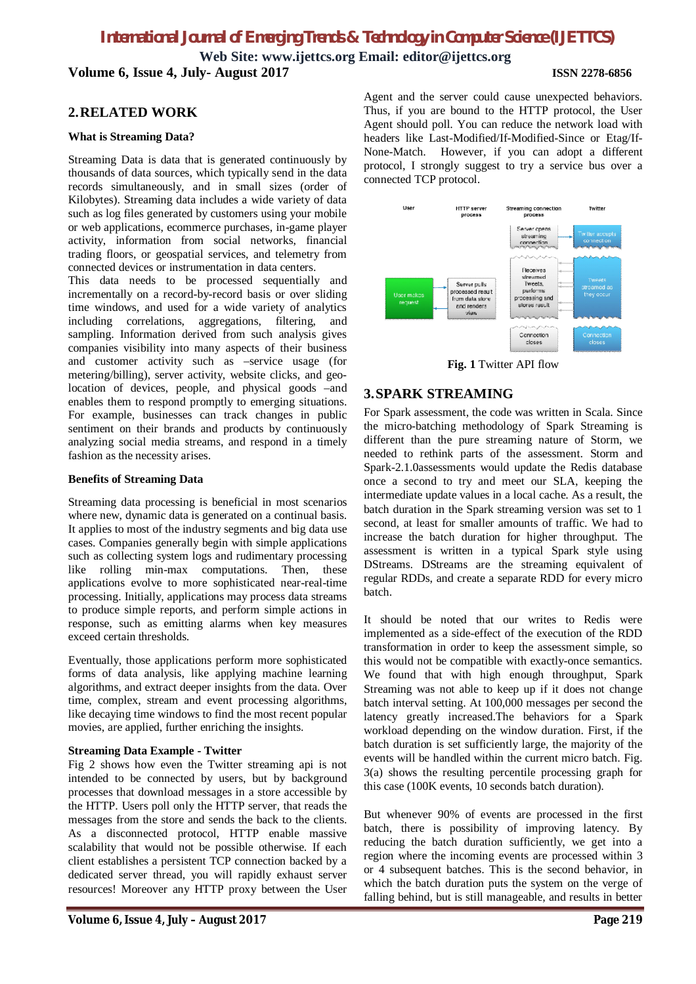**Web Site: www.ijettcs.org Email: editor@ijettcs.org Volume 6, Issue 4, July- August 2017 ISSN 2278-6856**

#### **2.RELATED WORK**

#### **What is Streaming Data?**

Streaming Data is data that is generated continuously by thousands of data sources, which typically send in the data records simultaneously, and in small sizes (order of Kilobytes). Streaming data includes a wide variety of data such as log files generated by customers using your mobile or web applications, ecommerce purchases, in-game player activity, information from social networks, financial trading floors, or geospatial services, and telemetry from connected devices or instrumentation in data centers.

This data needs to be processed sequentially and incrementally on a record-by-record basis or over sliding time windows, and used for a wide variety of analytics including correlations, aggregations, filtering, and sampling. Information derived from such analysis gives companies visibility into many aspects of their business and customer activity such as –service usage (for metering/billing), server activity, website clicks, and geolocation of devices, people, and physical goods –and enables them to respond promptly to emerging situations. For example, businesses can track changes in public sentiment on their brands and products by continuously analyzing social media streams, and respond in a timely fashion as the necessity arises.

#### **Benefits of Streaming Data**

Streaming data processing is beneficial in most scenarios where new, dynamic data is generated on a continual basis. It applies to most of the industry segments and big data use cases. Companies generally begin with simple applications such as collecting system logs and rudimentary processing like rolling min-max computations. Then, these applications evolve to more sophisticated near-real-time processing. Initially, applications may process data streams to produce simple reports, and perform simple actions in response, such as emitting alarms when key measures exceed certain thresholds.

Eventually, those applications perform more sophisticated forms of data analysis, like applying machine learning algorithms, and extract deeper insights from the data. Over time, complex, stream and event processing algorithms, like decaying time windows to find the most recent popular movies, are applied, further enriching the insights.

#### **Streaming Data Example - Twitter**

Fig 2 shows how even the Twitter streaming api is not intended to be connected by users, but by background processes that download messages in a store accessible by the HTTP. Users poll only the HTTP server, that reads the messages from the store and sends the back to the clients. As a disconnected protocol, HTTP enable massive scalability that would not be possible otherwise. If each client establishes a persistent TCP connection backed by a dedicated server thread, you will rapidly exhaust server resources! Moreover any HTTP proxy between the User Agent and the server could cause unexpected behaviors. Thus, if you are bound to the HTTP protocol, the User Agent should poll. You can reduce the network load with headers like Last-Modified/If-Modified-Since or Etag/If-None-Match. However, if you can adopt a different protocol, I strongly suggest to try a service bus over a connected TCP protocol.



**Fig. 1** Twitter API flow

#### **3.SPARK STREAMING**

For Spark assessment, the code was written in Scala. Since the micro-batching methodology of Spark Streaming is different than the pure streaming nature of Storm, we needed to rethink parts of the assessment. Storm and Spark-2.1.0assessments would update the Redis database once a second to try and meet our SLA, keeping the intermediate update values in a local cache. As a result, the batch duration in the Spark streaming version was set to 1 second, at least for smaller amounts of traffic. We had to increase the batch duration for higher throughput. The assessment is written in a typical Spark style using DStreams. DStreams are the streaming equivalent of regular RDDs, and create a separate RDD for every micro batch.

It should be noted that our writes to Redis were implemented as a side-effect of the execution of the RDD transformation in order to keep the assessment simple, so this would not be compatible with exactly-once semantics. We found that with high enough throughput, Spark Streaming was not able to keep up if it does not change batch interval setting. At 100,000 messages per second the latency greatly increased.The behaviors for a Spark workload depending on the window duration. First, if the batch duration is set sufficiently large, the majority of the events will be handled within the current micro batch. Fig. 3(a) shows the resulting percentile processing graph for this case (100K events, 10 seconds batch duration).

But whenever 90% of events are processed in the first batch, there is possibility of improving latency. By reducing the batch duration sufficiently, we get into a region where the incoming events are processed within 3 or 4 subsequent batches. This is the second behavior, in which the batch duration puts the system on the verge of falling behind, but is still manageable, and results in better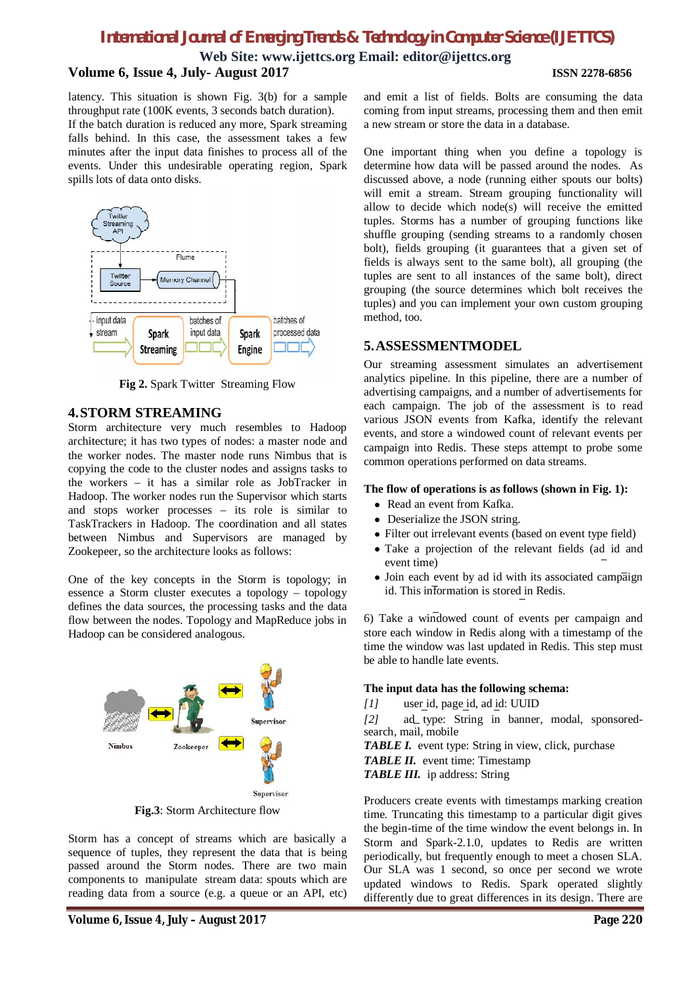**Web Site: www.ijettcs.org Email: editor@ijettcs.org Volume 6, Issue 4, July- August 2017 ISSN 2278-6856**

latency. This situation is shown Fig. 3(b) for a sample throughput rate (100K events, 3 seconds batch duration). If the batch duration is reduced any more, Spark streaming falls behind. In this case, the assessment takes a few minutes after the input data finishes to process all of the events. Under this undesirable operating region, Spark spills lots of data onto disks.



**Fig 2.** Spark Twitter Streaming Flow

#### **4.STORM STREAMING**

Storm architecture very much resembles to Hadoop architecture; it has two types of nodes: a master node and the worker nodes. The master node runs Nimbus that is copying the code to the cluster nodes and assigns tasks to the workers – it has a similar role as JobTracker in Hadoop. The worker nodes run the Supervisor which starts and stops worker processes – its role is similar to TaskTrackers in Hadoop. The coordination and all states between Nimbus and Supervisors are managed by Zookepeer, so the architecture looks as follows:

One of the key concepts in the Storm is topology; in essence a Storm cluster executes a topology – topology defines the data sources, the processing tasks and the data flow between the nodes. Topology and MapReduce jobs in Hadoop can be considered analogous.



**Fig.3**: Storm Architecture flow

Storm has a concept of streams which are basically a sequence of tuples, they represent the data that is being passed around the Storm nodes. There are two main components to manipulate stream data: spouts which are reading data from a source (e.g. a queue or an API, etc)

and emit a list of fields. Bolts are consuming the data coming from input streams, processing them and then emit a new stream or store the data in a database.

One important thing when you define a topology is determine how data will be passed around the nodes. As discussed above, a node (running either spouts our bolts) will emit a stream. Stream grouping functionality will allow to decide which node(s) will receive the emitted tuples. Storms has a number of grouping functions like shuffle grouping (sending streams to a randomly chosen bolt), fields grouping (it guarantees that a given set of fields is always sent to the same bolt), all grouping (the tuples are sent to all instances of the same bolt), direct grouping (the source determines which bolt receives the tuples) and you can implement your own custom grouping method, too.

### **5.ASSESSMENTMODEL**

Our streaming assessment simulates an advertisement analytics pipeline. In this pipeline, there are a number of advertising campaigns, and a number of advertisements for each campaign. The job of the assessment is to read various JSON events from Kafka, identify the relevant events, and store a windowed count of relevant events per campaign into Redis. These steps attempt to probe some common operations performed on data streams.

#### **The flow of operations is as follows (shown in Fig. 1):**

- Read an event from Kafka.
- Deserialize the JSON string.
- Filter out irrelevant events (based on event type field)
- Take a projection of the relevant fields (ad id and event time)
- Join each event by ad id with its associated campaign id. This information is stored in Redis.

6) Take a windowed count of events per campaign and store each window in Redis along with a timestamp of the time the window was last updated in Redis. This step must be able to handle late events.

#### **The input data has the following schema:**

*[1]* user id, page id, ad id: UUID

*[2]* ad type: String in banner, modal, sponsoredsearch, mail, mobile

*TABLE I.* event type: String in view, click, purchase *TABLE II.* event time: Timestamp *TABLE III.* ip address: String

Producers create events with timestamps marking creation time. Truncating this timestamp to a particular digit gives the begin-time of the time window the event belongs in. In Storm and Spark-2.1.0, updates to Redis are written periodically, but frequently enough to meet a chosen SLA. Our SLA was 1 second, so once per second we wrote updated windows to Redis. Spark operated slightly differently due to great differences in its design. There are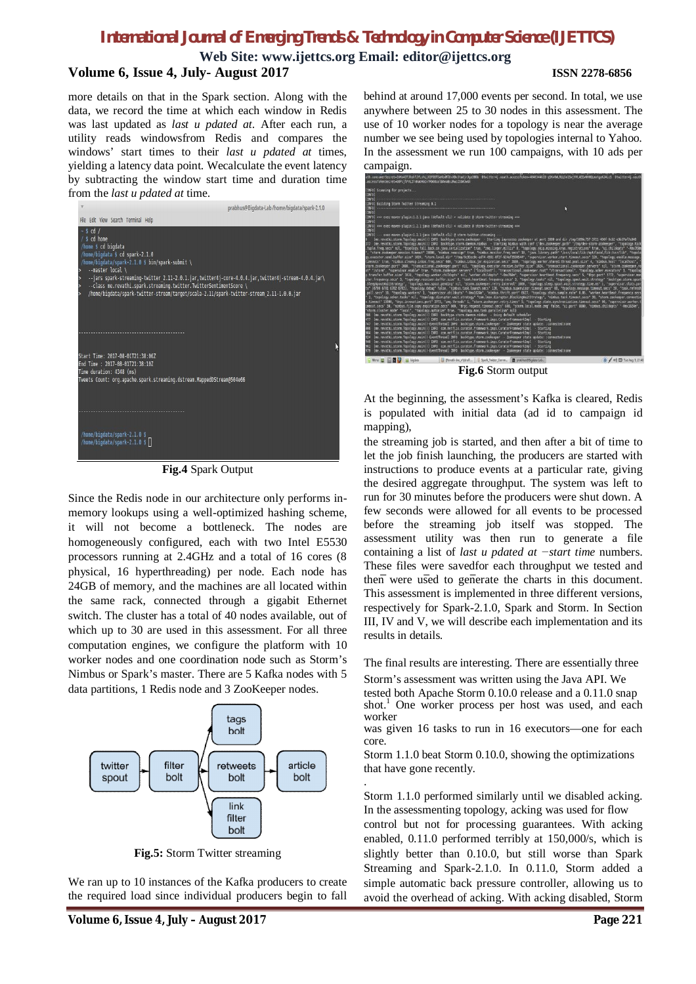**Web Site: www.ijettcs.org Email: editor@ijettcs.org Volume 6, Issue 4, July- August 2017 ISSN 2278-6856**

more details on that in the Spark section. Along with the data, we record the time at which each window in Redis was last updated as *last u pdated at*. After each run, a utility reads windowsfrom Redis and compares the windows' start times to their *last u pdated at* times, yielding a latency data point. Wecalculate the event latency by subtracting the window start time and duration time from the *last u pdated at* time.



**Fig.4** Spark Output

Since the Redis node in our architecture only performs inmemory lookups using a well-optimized hashing scheme, it will not become a bottleneck. The nodes are homogeneously configured, each with two Intel E5530 processors running at 2.4GHz and a total of 16 cores (8 physical, 16 hyperthreading) per node. Each node has 24GB of memory, and the machines are all located within the same rack, connected through a gigabit Ethernet switch. The cluster has a total of 40 nodes available, out of which up to 30 are used in this assessment. For all three computation engines, we configure the platform with 10 worker nodes and one coordination node such as Storm's Nimbus or Spark's master. There are 5 Kafka nodes with 5 data partitions, 1 Redis node and 3 ZooKeeper nodes.



**Fig.5:** Storm Twitter streaming

We ran up to 10 instances of the Kafka producers to create the required load since individual producers begin to fall

behind at around 17,000 events per second. In total, we use anywhere between 25 to 30 nodes in this assessment. The use of 10 worker nodes for a topology is near the average number we see being used by topologies internal to Yahoo. In the assessment we run 100 campaigns, with 10 ads per campaign.



**Fig.6** Storm output

At the beginning, the assessment's Kafka is cleared, Redis is populated with initial data (ad id to campaign id mapping),

the streaming job is started, and then after a bit of time to let the job finish launching, the producers are started with instructions to produce events at a particular rate, giving the desired aggregate throughput. The system was left to run for 30 minutes before the producers were shut down. A few seconds were allowed for all events to be processed before the streaming job itself was stopped. The assessment utility was then run to generate a file containing a list of *last u pdated at −start time* numbers. These files were savedfor each throughput we tested and then were used to generate the charts in this document. This assessment is implemented in three different versions, respectively for Spark-2.1.0, Spark and Storm. In Section III, IV and V, we will describe each implementation and its results in details.

The final results are interesting. There are essentially three

Storm's assessment was written using the Java API. We

tested both Apache Storm 0.10.0 release and a 0.11.0 snap shot.<sup>1</sup> One worker process per host was used, and each worker

was given 16 tasks to run in 16 executors—one for each core.

Storm 1.1.0 beat Storm 0.10.0, showing the optimizations that have gone recently.

. Storm 1.1.0 performed similarly until we disabled acking. In the assessmenting topology, acking was used for flow control but not for processing guarantees. With acking enabled, 0.11.0 performed terribly at 150,000/s, which is slightly better than 0.10.0, but still worse than Spark Streaming and Spark-2.1.0. In 0.11.0, Storm added a simple automatic back pressure controller, allowing us to avoid the overhead of acking. With acking disabled, Storm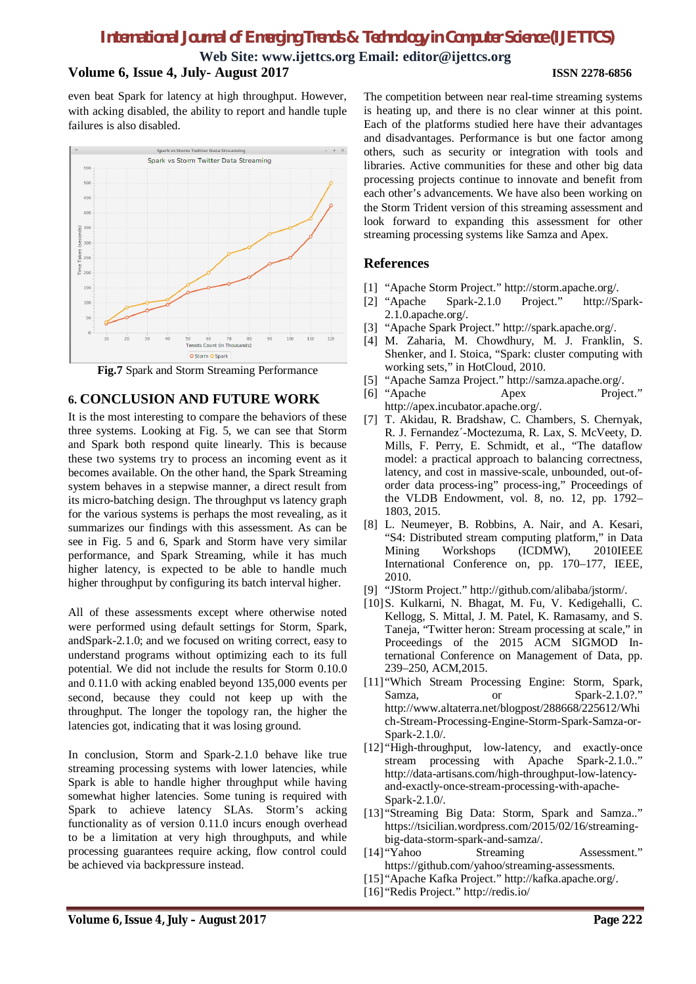**Web Site: www.ijettcs.org Email: editor@ijettcs.org**

#### **Volume 6, Issue 4, July- August 2017 ISSN 2278-6856**

even beat Spark for latency at high throughput. However, with acking disabled, the ability to report and handle tuple failures is also disabled.



**Fig.7** Spark and Storm Streaming Performance

### **6. CONCLUSION AND FUTURE WORK**

It is the most interesting to compare the behaviors of these three systems. Looking at Fig. 5, we can see that Storm and Spark both respond quite linearly. This is because these two systems try to process an incoming event as it becomes available. On the other hand, the Spark Streaming system behaves in a stepwise manner, a direct result from its micro-batching design. The throughput vs latency graph for the various systems is perhaps the most revealing, as it summarizes our findings with this assessment. As can be see in Fig. 5 and 6, Spark and Storm have very similar performance, and Spark Streaming, while it has much higher latency, is expected to be able to handle much higher throughput by configuring its batch interval higher.

All of these assessments except where otherwise noted were performed using default settings for Storm, Spark, andSpark-2.1.0; and we focused on writing correct, easy to understand programs without optimizing each to its full potential. We did not include the results for Storm 0.10.0 and 0.11.0 with acking enabled beyond 135,000 events per second, because they could not keep up with the throughput. The longer the topology ran, the higher the latencies got, indicating that it was losing ground.

In conclusion, Storm and Spark-2.1.0 behave like true streaming processing systems with lower latencies, while Spark is able to handle higher throughput while having somewhat higher latencies. Some tuning is required with Spark to achieve latency SLAs. Storm's acking functionality as of version 0.11.0 incurs enough overhead to be a limitation at very high throughputs, and while processing guarantees require acking, flow control could be achieved via backpressure instead.

The competition between near real-time streaming systems is heating up, and there is no clear winner at this point. Each of the platforms studied here have their advantages and disadvantages. Performance is but one factor among others, such as security or integration with tools and libraries. Active communities for these and other big data processing projects continue to innovate and benefit from each other's advancements. We have also been working on the Storm Trident version of this streaming assessment and look forward to expanding this assessment for other streaming processing systems like Samza and Apex.

### **References**

- [1] "Apache Storm Project." http://storm.apache.org/.
- [2] "Apache Spark-2.1.0 Project." http://Spark- $2.1.0$ .apache.org/.
- [3] "Apache Spark Project." http://spark.apache.org/.
- [4] M. Zaharia, M. Chowdhury, M. J. Franklin, S. Shenker, and I. Stoica, "Spark: cluster computing with working sets," in HotCloud, 2010.
- [5] "Apache Samza Project." http://samza.apache.org/.
- [6] "Apache Apex Project." http://apex.incubator.apache.org/.
- [7] T. Akidau, R. Bradshaw, C. Chambers, S. Chernyak, R. J. Fernandez´-Moctezuma, R. Lax, S. McVeety, D. Mills, F. Perry, E. Schmidt, et al., "The dataflow model: a practical approach to balancing correctness, latency, and cost in massive-scale, unbounded, out-oforder data process-ing" process-ing," Proceedings of the VLDB Endowment, vol. 8, no. 12, pp. 1792– 1803, 2015.
- [8] L. Neumeyer, B. Robbins, A. Nair, and A. Kesari, "S4: Distributed stream computing platform," in Data Mining Workshops (ICDMW), 2010IEEE International Conference on, pp. 170–177, IEEE, 2010.
- [9] "JStorm Project." http://github.com/alibaba/jstorm/.
- [10]S. Kulkarni, N. Bhagat, M. Fu, V. Kedigehalli, C. Kellogg, S. Mittal, J. M. Patel, K. Ramasamy, and S. Taneja, "Twitter heron: Stream processing at scale," in Proceedings of the 2015 ACM SIGMOD International Conference on Management of Data, pp. 239–250, ACM,2015.
- [11] "Which Stream Processing Engine: Storm, Spark, Samza, or Spark-2.1.0?." http://www.altaterra.net/blogpost/288668/225612/Whi ch-Stream-Processing-Engine-Storm-Spark-Samza-or-Spark-2.1.0/.
- [12] "High-throughput, low-latency, and exactly-once stream processing with Apache Spark-2.1.0.." http://data-artisans.com/high-throughput-low-latencyand-exactly-once-stream-processing-with-apache-Spark-2.1.0/.
- [13] "Streaming Big Data: Storm, Spark and Samza.." https://tsicilian.wordpress.com/2015/02/16/streamingbig-data-storm-spark-and-samza/.
- [14] "Yahoo Streaming Assessment." https://github.com/yahoo/streaming-assessments.
- [15] "Apache Kafka Project." http://kafka.apache.org/.
- [16] "Redis Project." http://redis.io/